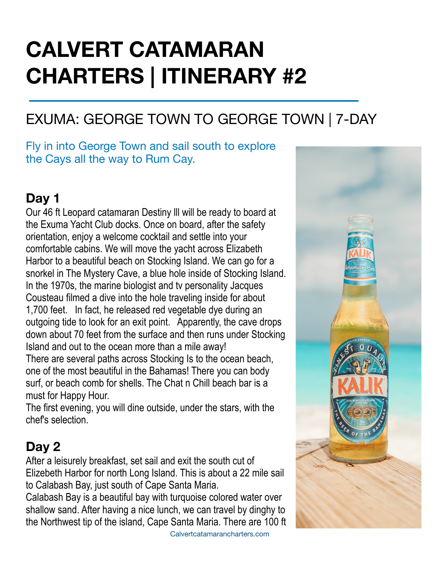# **CALVERT CATAMARAN CHARTERS | ITINERARY #2**

# EXUMA: GEORGE TOWN TO GEORGE TOWN | 7-DAY

#### Fly in into George Town and sail south to explore the Cays all the way to Rum Cay.

#### **Day 1**

Our 46 ft Leopard catamaran Destiny lll will be ready to board at the Exuma Yacht Club docks. Once on board, after the safety orientation, enjoy a welcome cocktail and settle into your comfortable cabins. We will move the yacht across Elizabeth Harbor to a beautiful beach on Stocking Island. We can go for a snorkel in The Mystery Cave, a blue hole inside of Stocking Island. In the 1970s, the marine biologist and tv personality Jacques Cousteau filmed a dive into the hole traveling inside for about 1,700 feet. In fact, he released red vegetable dye during an outgoing tide to look for an exit point. Apparently, the cave drops down about 70 feet from the surface and then runs under Stocking Island and out to the ocean more than a mile away!

There are several paths across Stocking Is to the ocean beach, one of the most beautiful in the Bahamas! There you can body surf, or beach comb for shells. The Chat n Chill beach bar is a must for Happy Hour.

The first evening, you will dine outside, under the stars, with the chef's selection.

#### **Day 2**

After a leisurely breakfast, set sail and exit the south cut of Elizebeth Harbor for north Long Island. This is about a 22 mile sail to Calabash Bay, just south of Cape Santa Maria.

Calabash Bay is a beautiful bay with turquoise colored water over shallow sand. After having a nice lunch, we can travel by dinghy to the Northwest tip of the island, Cape Santa Maria. There are 100 ft